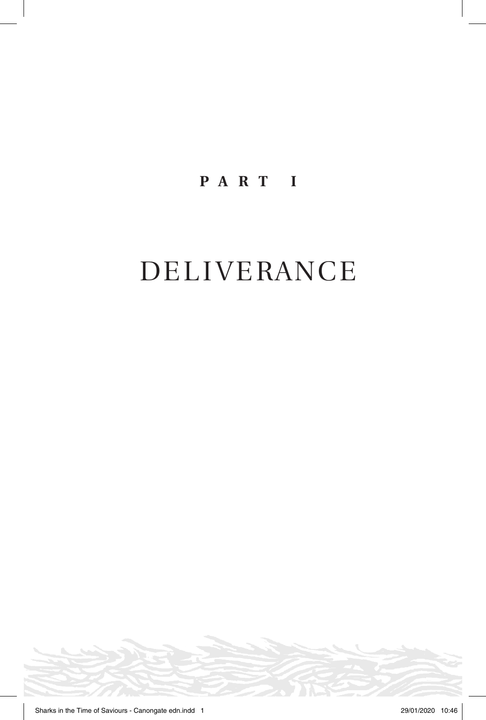## **PART I**

## DELIVERANCE

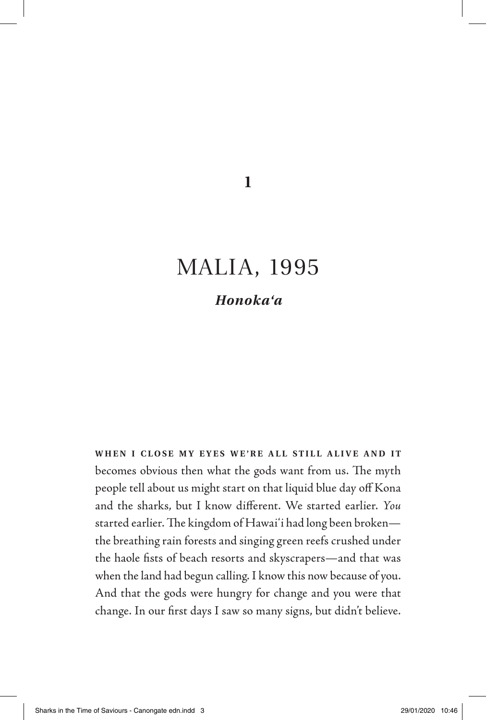**1**

## MALIA, 1995

## *Honoka'a*

WHEN I CLOSE MY EYES WE'RE ALL STILL ALIVE AND IT becomes obvious then what the gods want from us. The myth people tell about us might start on that liquid blue day off Kona and the sharks, but I know different. We started earlier. *You* started earlier. The kingdom of Hawai'i had long been broken the breathing rain forests and singing green reefs crushed under the haole fists of beach resorts and skyscrapers—and that was when the land had begun calling. I know this now because of you. And that the gods were hungry for change and you were that change. In our first days I saw so many signs, but didn't believe.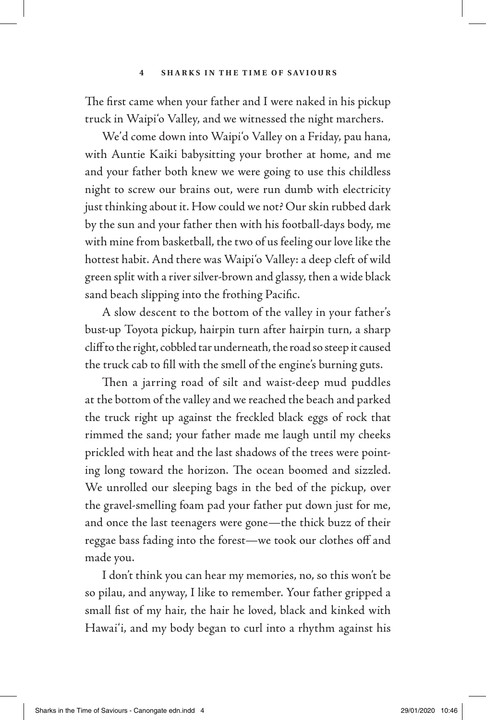The first came when your father and I were naked in his pickup truck in Waipi'o Valley, and we witnessed the night marchers.

We'd come down into Waipi'o Valley on a Friday, pau hana, with Auntie Kaiki babysitting your brother at home, and me and your father both knew we were going to use this childless night to screw our brains out, were run dumb with electricity just thinking about it. How could we not? Our skin rubbed dark by the sun and your father then with his football-days body, me with mine from basketball, the two of us feeling our love like the hottest habit. And there was Waipi'o Valley: a deep cleft of wild green split with a river silver-brown and glassy, then a wide black sand beach slipping into the frothing Pacific.

A slow descent to the bottom of the valley in your father's bust-up Toyota pickup, hairpin turn after hairpin turn, a sharp cliff to the right, cobbled tar underneath, the road so steep it caused the truck cab to fill with the smell of the engine's burning guts.

Then a jarring road of silt and waist-deep mud puddles at the bottom of the valley and we reached the beach and parked the truck right up against the freckled black eggs of rock that rimmed the sand; your father made me laugh until my cheeks prickled with heat and the last shadows of the trees were pointing long toward the horizon. The ocean boomed and sizzled. We unrolled our sleeping bags in the bed of the pickup, over the gravel-smelling foam pad your father put down just for me, and once the last teenagers were gone—the thick buzz of their reggae bass fading into the forest—we took our clothes off and made you.

I don't think you can hear my memories, no, so this won't be so pilau, and anyway, I like to remember. Your father gripped a small fist of my hair, the hair he loved, black and kinked with Hawai'i, and my body began to curl into a rhythm against his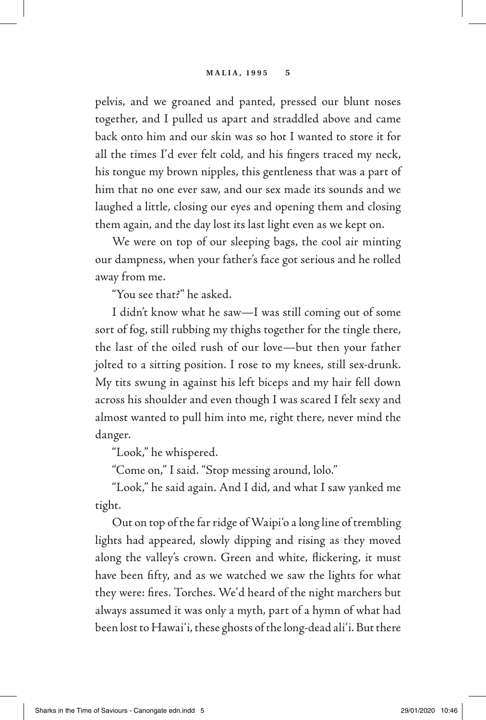pelvis, and we groaned and panted, pressed our blunt noses together, and I pulled us apart and straddled above and came back onto him and our skin was so hot I wanted to store it for all the times I'd ever felt cold, and his fingers traced my neck, his tongue my brown nipples, this gentleness that was a part of him that no one ever saw, and our sex made its sounds and we laughed a little, closing our eyes and opening them and closing them again, and the day lost its last light even as we kept on.

We were on top of our sleeping bags, the cool air minting our dampness, when your father's face got serious and he rolled away from me.

"You see that?" he asked.

I didn't know what he saw—I was still coming out of some sort of fog, still rubbing my thighs together for the tingle there, the last of the oiled rush of our love—but then your father jolted to a sitting position. I rose to my knees, still sex-drunk. My tits swung in against his left biceps and my hair fell down across his shoulder and even though I was scared I felt sexy and almost wanted to pull him into me, right there, never mind the danger.

"Look," he whispered.

"Come on," I said. "Stop messing around, lolo."

"Look," he said again. And I did, and what I saw yanked me tight.

Out on top of the far ridge of Waipi'o a long line of trembling lights had appeared, slowly dipping and rising as they moved along the valley's crown. Green and white, flickering, it must have been fifty, and as we watched we saw the lights for what they were: fires. Torches. We'd heard of the night marchers but always assumed it was only a myth, part of a hymn of what had been lost to Hawai'i, these ghosts of the long-dead ali'i. But there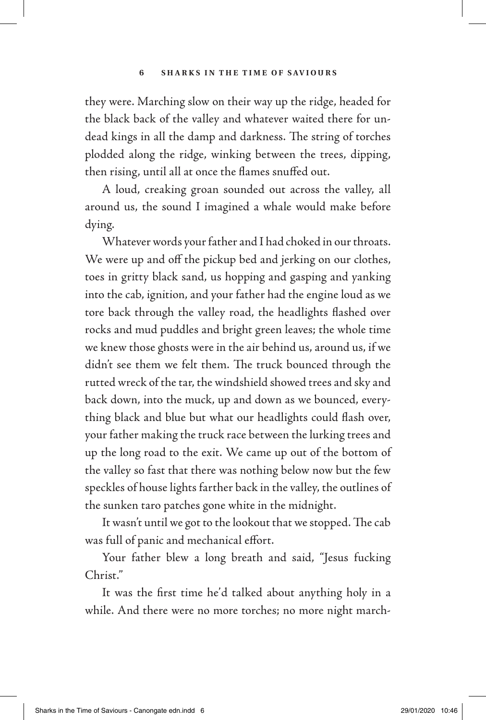they were. Marching slow on their way up the ridge, headed for the black back of the valley and whatever waited there for undead kings in all the damp and darkness. The string of torches plodded along the ridge, winking between the trees, dipping, then rising, until all at once the flames snuffed out.

A loud, creaking groan sounded out across the valley, all around us, the sound I imagined a whale would make before dying.

Whatever words your father and I had choked in our throats. We were up and off the pickup bed and jerking on our clothes, toes in gritty black sand, us hopping and gasping and yanking into the cab, ignition, and your father had the engine loud as we tore back through the valley road, the headlights flashed over rocks and mud puddles and bright green leaves; the whole time we knew those ghosts were in the air behind us, around us, if we didn't see them we felt them. The truck bounced through the rutted wreck of the tar, the windshield showed trees and sky and back down, into the muck, up and down as we bounced, everything black and blue but what our headlights could flash over, your father making the truck race between the lurking trees and up the long road to the exit. We came up out of the bottom of the valley so fast that there was nothing below now but the few speckles of house lights farther back in the valley, the outlines of the sunken taro patches gone white in the midnight.

It wasn't until we got to the lookout that we stopped. The cab was full of panic and mechanical effort.

Your father blew a long breath and said, "Jesus fucking Christ."

It was the first time he'd talked about anything holy in a while. And there were no more torches; no more night march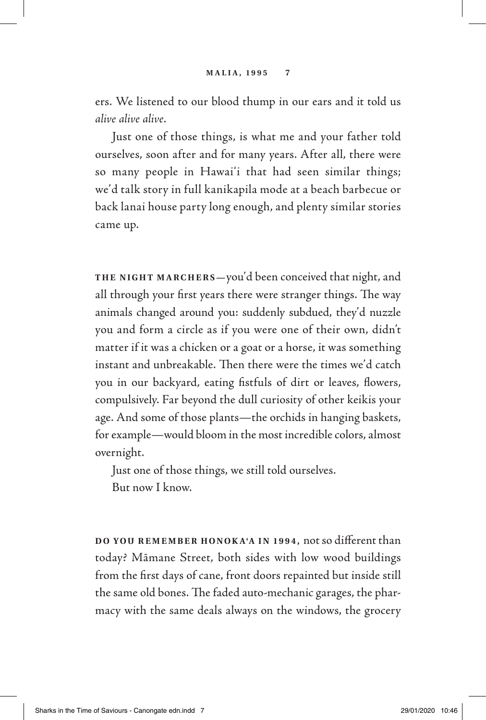ers. We listened to our blood thump in our ears and it told us *alive alive alive*.

Just one of those things, is what me and your father told ourselves, soon after and for many years. After all, there were so many people in Hawai'i that had seen similar things; we'd talk story in full kanikapila mode at a beach barbecue or back lanai house party long enough, and plenty similar stories came up.

**THE NIGHT MARCHERS—**you'd been conceived that night, and all through your first years there were stranger things. The way animals changed around you: suddenly subdued, they'd nuzzle you and form a circle as if you were one of their own, didn't matter if it was a chicken or a goat or a horse, it was something instant and unbreakable. Then there were the times we'd catch you in our backyard, eating fistfuls of dirt or leaves, flowers, compulsively. Far beyond the dull curiosity of other keikis your age. And some of those plants—the orchids in hanging baskets, for example—would bloom in the most incredible colors, almost overnight.

Just one of those things, we still told ourselves.

But now I know.

**DO YOU REMEMBER HONOK A'A IN 1994,** not so different than today? Māmane Street, both sides with low wood buildings from the first days of cane, front doors repainted but inside still the same old bones. The faded auto-mechanic garages, the pharmacy with the same deals always on the windows, the grocery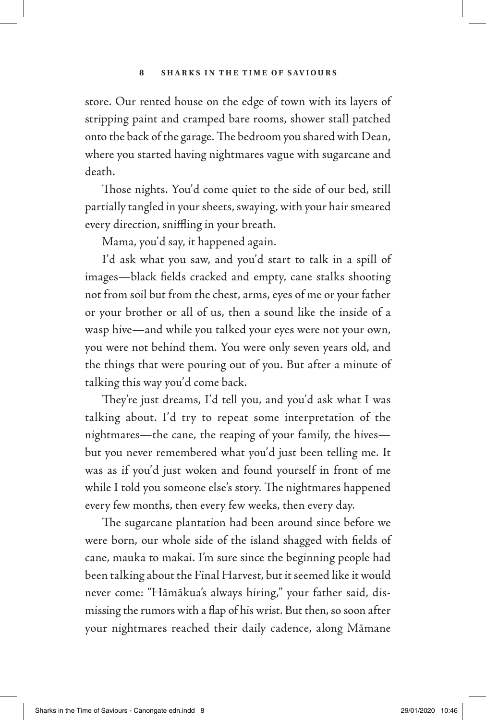store. Our rented house on the edge of town with its layers of stripping paint and cramped bare rooms, shower stall patched onto the back of the garage. The bedroom you shared with Dean, where you started having nightmares vague with sugarcane and death.

Those nights. You'd come quiet to the side of our bed, still partially tangled in your sheets, swaying, with your hair smeared every direction, sniffling in your breath.

Mama, you'd say, it happened again.

I'd ask what you saw, and you'd start to talk in a spill of images—black fields cracked and empty, cane stalks shooting not from soil but from the chest, arms, eyes of me or your father or your brother or all of us, then a sound like the inside of a wasp hive—and while you talked your eyes were not your own, you were not behind them. You were only seven years old, and the things that were pouring out of you. But after a minute of talking this way you'd come back.

They're just dreams, I'd tell you, and you'd ask what I was talking about. I'd try to repeat some interpretation of the nightmares—the cane, the reaping of your family, the hives but you never remembered what you'd just been telling me. It was as if you'd just woken and found yourself in front of me while I told you someone else's story. The nightmares happened every few months, then every few weeks, then every day.

The sugarcane plantation had been around since before we were born, our whole side of the island shagged with fields of cane, mauka to makai. I'm sure since the beginning people had been talking about the Final Harvest, but it seemed like it would never come: "Hāmākua's always hiring," your father said, dismissing the rumors with a flap of his wrist. But then, so soon after your nightmares reached their daily cadence, along Māmane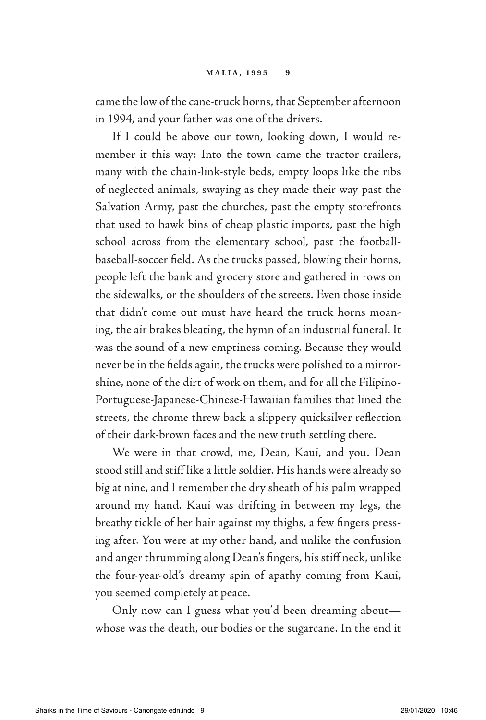came the low of the cane-truck horns, that September afternoon in 1994, and your father was one of the drivers.

If I could be above our town, looking down, I would remember it this way: Into the town came the tractor trailers, many with the chain-link-style beds, empty loops like the ribs of neglected animals, swaying as they made their way past the Salvation Army, past the churches, past the empty storefronts that used to hawk bins of cheap plastic imports, past the high school across from the elementary school, past the footballbaseball-soccer field. As the trucks passed, blowing their horns, people left the bank and grocery store and gathered in rows on the sidewalks, or the shoulders of the streets. Even those inside that didn't come out must have heard the truck horns moaning, the air brakes bleating, the hymn of an industrial funeral. It was the sound of a new emptiness coming. Because they would never be in the fields again, the trucks were polished to a mirrorshine, none of the dirt of work on them, and for all the Filipino-Portuguese-Japanese-Chinese-Hawaiian families that lined the streets, the chrome threw back a slippery quicksilver reflection of their dark-brown faces and the new truth settling there.

We were in that crowd, me, Dean, Kaui, and you. Dean stood still and stiff like a little soldier. His hands were already so big at nine, and I remember the dry sheath of his palm wrapped around my hand. Kaui was drifting in between my legs, the breathy tickle of her hair against my thighs, a few fingers pressing after. You were at my other hand, and unlike the confusion and anger thrumming along Dean's fingers, his stiff neck, unlike the four-year-old's dreamy spin of apathy coming from Kaui, you seemed completely at peace.

Only now can I guess what you'd been dreaming about whose was the death, our bodies or the sugarcane. In the end it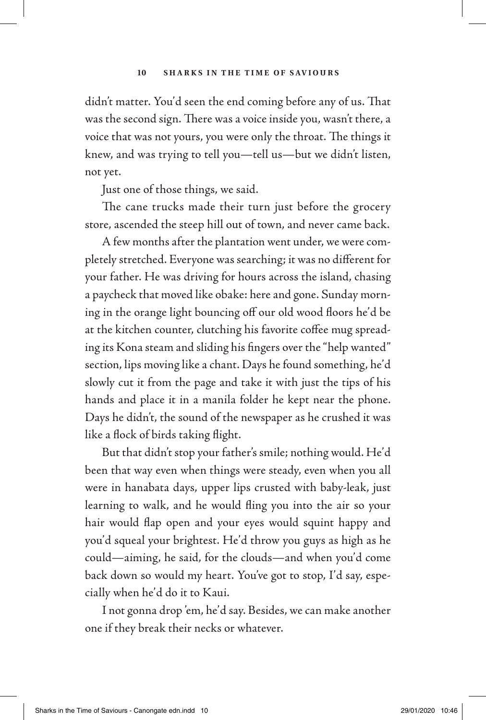didn't matter. You'd seen the end coming before any of us. That was the second sign. There was a voice inside you, wasn't there, a voice that was not yours, you were only the throat. The things it knew, and was trying to tell you—tell us—but we didn't listen, not yet.

Just one of those things, we said.

The cane trucks made their turn just before the grocery store, ascended the steep hill out of town, and never came back.

A few months after the plantation went under, we were completely stretched. Everyone was searching; it was no different for your father. He was driving for hours across the island, chasing a paycheck that moved like obake: here and gone. Sunday morning in the orange light bouncing off our old wood floors he'd be at the kitchen counter, clutching his favorite coffee mug spreading its Kona steam and sliding his fingers over the "help wanted" section, lips moving like a chant. Days he found something, he'd slowly cut it from the page and take it with just the tips of his hands and place it in a manila folder he kept near the phone. Days he didn't, the sound of the newspaper as he crushed it was like a flock of birds taking flight.

But that didn't stop your father's smile; nothing would. He'd been that way even when things were steady, even when you all were in hanabata days, upper lips crusted with baby-leak, just learning to walk, and he would fling you into the air so your hair would flap open and your eyes would squint happy and you'd squeal your brightest. He'd throw you guys as high as he could—aiming, he said, for the clouds—and when you'd come back down so would my heart. You've got to stop, I'd say, especially when he'd do it to Kaui.

I not gonna drop 'em, he'd say. Besides, we can make another one if they break their necks or whatever.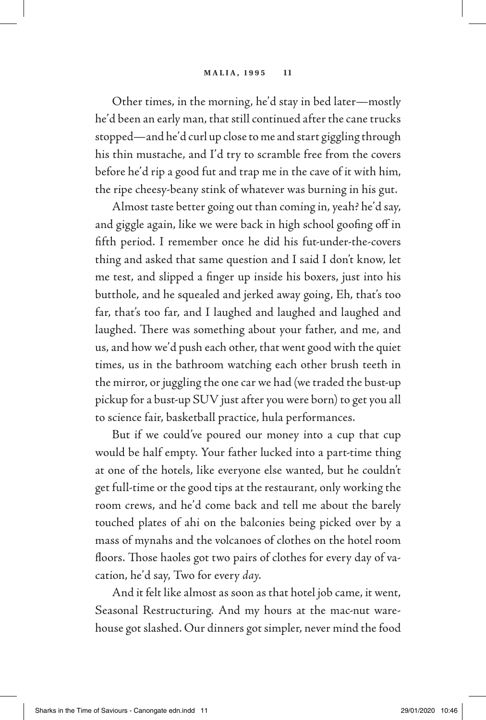Other times, in the morning, he'd stay in bed later—mostly he'd been an early man, that still continued after the cane trucks stopped—and he'd curl up close to me and start giggling through his thin mustache, and I'd try to scramble free from the covers before he'd rip a good fut and trap me in the cave of it with him, the ripe cheesy-beany stink of whatever was burning in his gut.

Almost taste better going out than coming in, yeah? he'd say, and giggle again, like we were back in high school goofing off in fifth period. I remember once he did his fut-under-the-covers thing and asked that same question and I said I don't know, let me test, and slipped a finger up inside his boxers, just into his butthole, and he squealed and jerked away going, Eh, that's too far, that's too far, and I laughed and laughed and laughed and laughed. There was something about your father, and me, and us, and how we'd push each other, that went good with the quiet times, us in the bathroom watching each other brush teeth in the mirror, or juggling the one car we had (we traded the bust-up pickup for a bust-up SUV just after you were born) to get you all to science fair, basketball practice, hula performances.

But if we could've poured our money into a cup that cup would be half empty. Your father lucked into a part-time thing at one of the hotels, like everyone else wanted, but he couldn't get full-time or the good tips at the restaurant, only working the room crews, and he'd come back and tell me about the barely touched plates of ahi on the balconies being picked over by a mass of mynahs and the volcanoes of clothes on the hotel room floors. Those haoles got two pairs of clothes for every day of vacation, he'd say, Two for every *day*.

And it felt like almost as soon as that hotel job came, it went, Seasonal Restructuring. And my hours at the mac-nut warehouse got slashed. Our dinners got simpler, never mind the food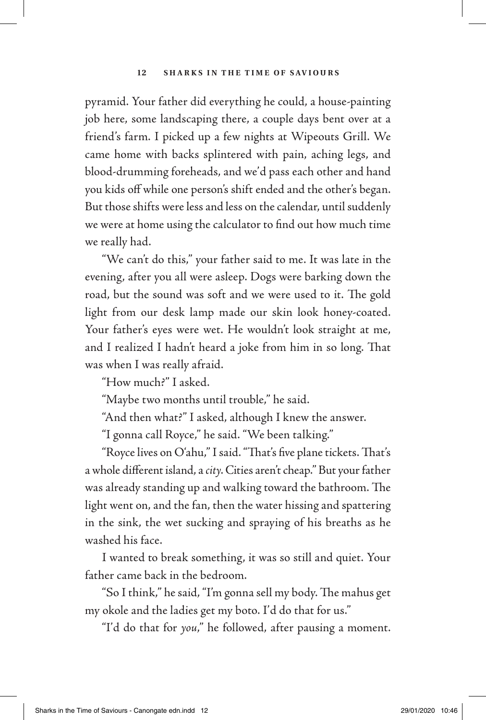pyramid. Your father did everything he could, a house-painting job here, some landscaping there, a couple days bent over at a friend's farm. I picked up a few nights at Wipeouts Grill. We came home with backs splintered with pain, aching legs, and blood-drumming foreheads, and we'd pass each other and hand you kids off while one person's shift ended and the other's began. But those shifts were less and less on the calendar, until suddenly we were at home using the calculator to find out how much time we really had.

"We can't do this," your father said to me. It was late in the evening, after you all were asleep. Dogs were barking down the road, but the sound was soft and we were used to it. The gold light from our desk lamp made our skin look honey-coated. Your father's eyes were wet. He wouldn't look straight at me, and I realized I hadn't heard a joke from him in so long. That was when I was really afraid.

"How much?" I asked.

"Maybe two months until trouble," he said.

"And then what?" I asked, although I knew the answer.

"I gonna call Royce," he said. "We been talking."

"Royce lives on O'ahu," I said. "That's five plane tickets. That's a whole different island, a *city*. Cities aren't cheap." But your father was already standing up and walking toward the bathroom. The light went on, and the fan, then the water hissing and spattering in the sink, the wet sucking and spraying of his breaths as he washed his face.

I wanted to break something, it was so still and quiet. Your father came back in the bedroom.

"So I think," he said, "I'm gonna sell my body. The mahus get my okole and the ladies get my boto. I'd do that for us."

"I'd do that for *you*," he followed, after pausing a moment.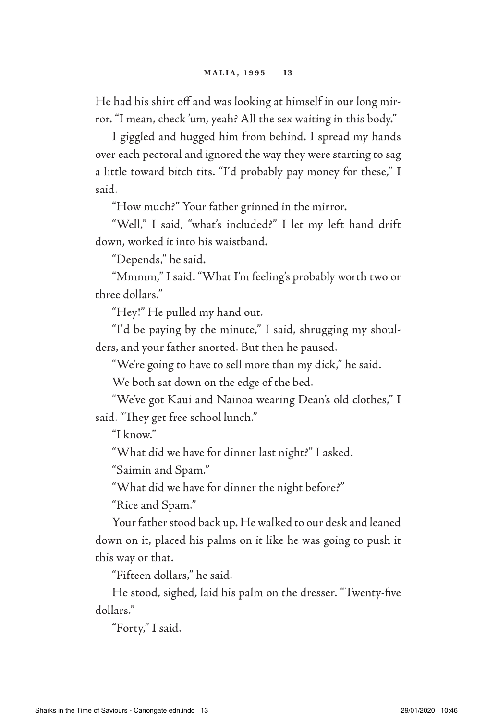He had his shirt off and was looking at himself in our long mirror. "I mean, check 'um, yeah? All the sex waiting in this body."

I giggled and hugged him from behind. I spread my hands over each pectoral and ignored the way they were starting to sag a little toward bitch tits. "I'd probably pay money for these," I said.

"How much?" Your father grinned in the mirror.

"Well," I said, "what's included?" I let my left hand drift down, worked it into his waistband.

"Depends," he said.

"Mmmm," I said. "What I'm feeling's probably worth two or three dollars."

"Hey!" He pulled my hand out.

"I'd be paying by the minute," I said, shrugging my shoulders, and your father snorted. But then he paused.

"We're going to have to sell more than my dick," he said.

We both sat down on the edge of the bed.

"We've got Kaui and Nainoa wearing Dean's old clothes," I said. "They get free school lunch."

"I know."

"What did we have for dinner last night?" I asked.

"Saimin and Spam."

"What did we have for dinner the night before?"

"Rice and Spam."

Your father stood back up. He walked to our desk and leaned down on it, placed his palms on it like he was going to push it this way or that.

"Fifteen dollars," he said.

He stood, sighed, laid his palm on the dresser. "Twenty-five dollars."

"Forty," I said.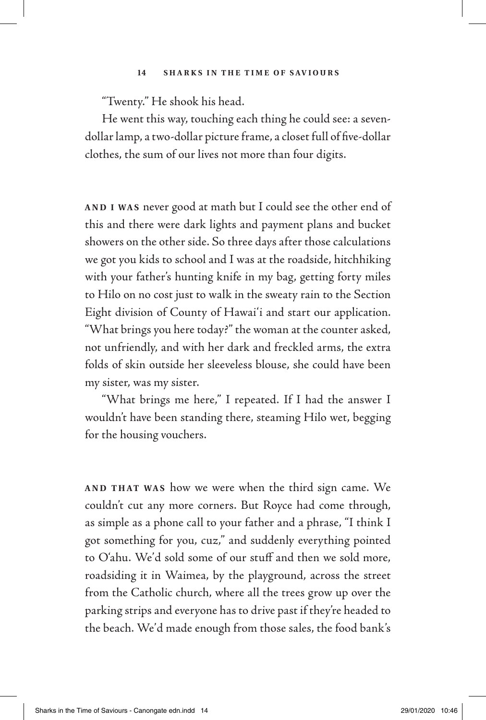"Twenty." He shook his head.

He went this way, touching each thing he could see: a sevendollar lamp, a two-dollar picture frame, a closet full of five-dollar clothes, the sum of our lives not more than four digits.

**AND I WAS** never good at math but I could see the other end of this and there were dark lights and payment plans and bucket showers on the other side. So three days after those calculations we got you kids to school and I was at the roadside, hitchhiking with your father's hunting knife in my bag, getting forty miles to Hilo on no cost just to walk in the sweaty rain to the Section Eight division of County of Hawai'i and start our application. "What brings you here today?" the woman at the counter asked, not unfriendly, and with her dark and freckled arms, the extra folds of skin outside her sleeveless blouse, she could have been my sister, was my sister.

"What brings me here," I repeated. If I had the answer I wouldn't have been standing there, steaming Hilo wet, begging for the housing vouchers.

**AND THAT WAS** how we were when the third sign came. We couldn't cut any more corners. But Royce had come through, as simple as a phone call to your father and a phrase, "I think I got something for you, cuz," and suddenly everything pointed to O'ahu. We'd sold some of our stuff and then we sold more, roadsiding it in Waimea, by the playground, across the street from the Catholic church, where all the trees grow up over the parking strips and everyone has to drive past if they're headed to the beach. We'd made enough from those sales, the food bank's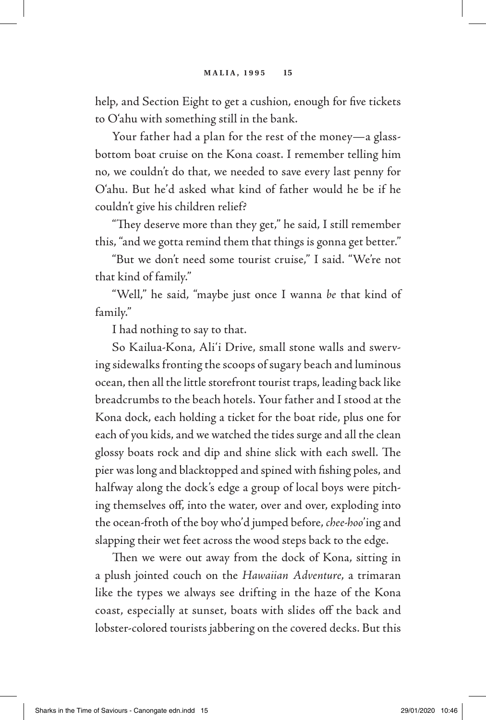help, and Section Eight to get a cushion, enough for five tickets to O'ahu with something still in the bank.

Your father had a plan for the rest of the money—a glassbottom boat cruise on the Kona coast. I remember telling him no, we couldn't do that, we needed to save every last penny for O'ahu. But he'd asked what kind of father would he be if he couldn't give his children relief?

"They deserve more than they get," he said, I still remember this, "and we gotta remind them that things is gonna get better."

"But we don't need some tourist cruise," I said. "We're not that kind of family."

"Well," he said, "maybe just once I wanna *be* that kind of family."

I had nothing to say to that.

So Kailua-Kona, Ali'i Drive, small stone walls and swerving sidewalks fronting the scoops of sugary beach and luminous ocean, then all the little storefront tourist traps, leading back like breadcrumbs to the beach hotels. Your father and I stood at the Kona dock, each holding a ticket for the boat ride, plus one for each of you kids, and we watched the tides surge and all the clean glossy boats rock and dip and shine slick with each swell. The pier was long and blacktopped and spined with fishing poles, and halfway along the dock's edge a group of local boys were pitching themselves off, into the water, over and over, exploding into the ocean-froth of the boy who'd jumped before, *chee-hoo*'ing and slapping their wet feet across the wood steps back to the edge.

Then we were out away from the dock of Kona, sitting in a plush jointed couch on the *Hawaiian Adventure*, a trimaran like the types we always see drifting in the haze of the Kona coast, especially at sunset, boats with slides off the back and lobster-colored tourists jabbering on the covered decks. But this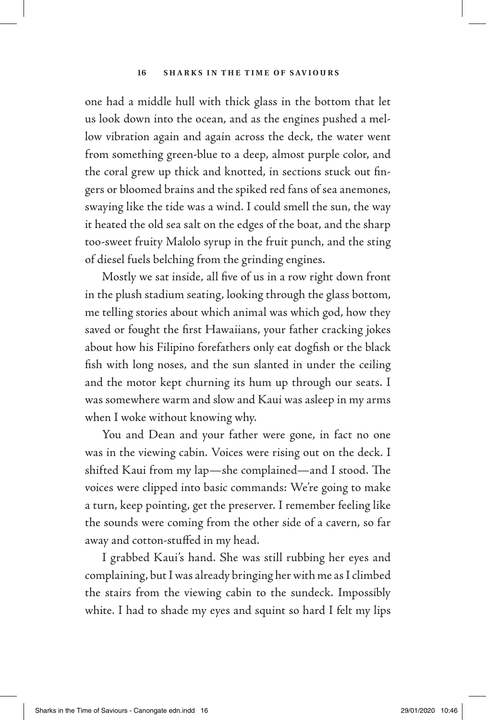one had a middle hull with thick glass in the bottom that let us look down into the ocean, and as the engines pushed a mellow vibration again and again across the deck, the water went from something green-blue to a deep, almost purple color, and the coral grew up thick and knotted, in sections stuck out fingers or bloomed brains and the spiked red fans of sea anemones, swaying like the tide was a wind. I could smell the sun, the way it heated the old sea salt on the edges of the boat, and the sharp too-sweet fruity Malolo syrup in the fruit punch, and the sting of diesel fuels belching from the grinding engines.

Mostly we sat inside, all five of us in a row right down front in the plush stadium seating, looking through the glass bottom, me telling stories about which animal was which god, how they saved or fought the first Hawaiians, your father cracking jokes about how his Filipino forefathers only eat dogfish or the black fish with long noses, and the sun slanted in under the ceiling and the motor kept churning its hum up through our seats. I was somewhere warm and slow and Kaui was asleep in my arms when I woke without knowing why.

You and Dean and your father were gone, in fact no one was in the viewing cabin. Voices were rising out on the deck. I shifted Kaui from my lap—she complained—and I stood. The voices were clipped into basic commands: We're going to make a turn, keep pointing, get the preserver. I remember feeling like the sounds were coming from the other side of a cavern, so far away and cotton-stuffed in my head.

I grabbed Kaui's hand. She was still rubbing her eyes and complaining, but I was already bringing her with me as I climbed the stairs from the viewing cabin to the sundeck. Impossibly white. I had to shade my eyes and squint so hard I felt my lips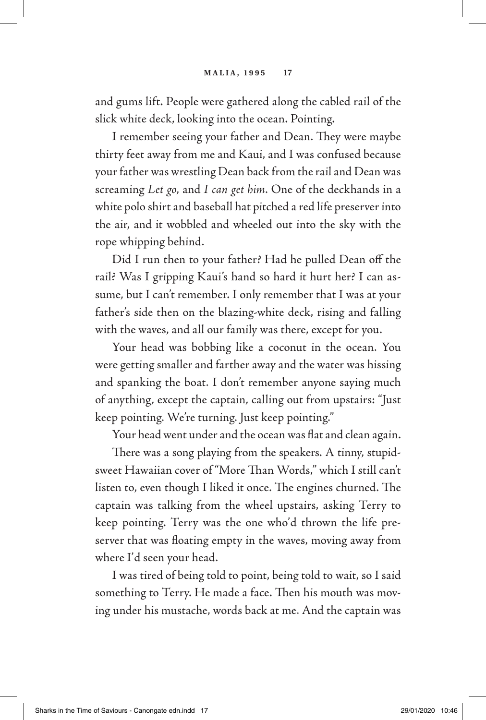and gums lift. People were gathered along the cabled rail of the slick white deck, looking into the ocean. Pointing.

I remember seeing your father and Dean. They were maybe thirty feet away from me and Kaui, and I was confused because your father was wrestling Dean back from the rail and Dean was screaming *Let go*, and *I can get him*. One of the deckhands in a white polo shirt and baseball hat pitched a red life preserver into the air, and it wobbled and wheeled out into the sky with the rope whipping behind.

Did I run then to your father? Had he pulled Dean off the rail? Was I gripping Kaui's hand so hard it hurt her? I can assume, but I can't remember. I only remember that I was at your father's side then on the blazing-white deck, rising and falling with the waves, and all our family was there, except for you.

Your head was bobbing like a coconut in the ocean. You were getting smaller and farther away and the water was hissing and spanking the boat. I don't remember anyone saying much of anything, except the captain, calling out from upstairs: "Just keep pointing. We're turning. Just keep pointing."

Your head went under and the ocean was flat and clean again.

There was a song playing from the speakers. A tinny, stupidsweet Hawaiian cover of "More Than Words," which I still can't listen to, even though I liked it once. The engines churned. The captain was talking from the wheel upstairs, asking Terry to keep pointing. Terry was the one who'd thrown the life preserver that was floating empty in the waves, moving away from where I'd seen your head.

I was tired of being told to point, being told to wait, so I said something to Terry. He made a face. Then his mouth was moving under his mustache, words back at me. And the captain was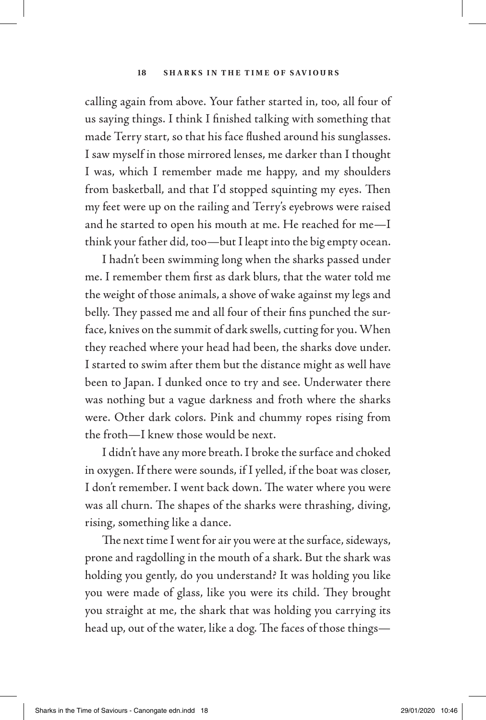calling again from above. Your father started in, too, all four of us saying things. I think I finished talking with something that made Terry start, so that his face flushed around his sunglasses. I saw myself in those mirrored lenses, me darker than I thought I was, which I remember made me happy, and my shoulders from basketball, and that I'd stopped squinting my eyes. Then my feet were up on the railing and Terry's eyebrows were raised and he started to open his mouth at me. He reached for me—I think your father did, too—but I leapt into the big empty ocean.

I hadn't been swimming long when the sharks passed under me. I remember them first as dark blurs, that the water told me the weight of those animals, a shove of wake against my legs and belly. They passed me and all four of their fins punched the surface, knives on the summit of dark swells, cutting for you. When they reached where your head had been, the sharks dove under. I started to swim after them but the distance might as well have been to Japan. I dunked once to try and see. Underwater there was nothing but a vague darkness and froth where the sharks were. Other dark colors. Pink and chummy ropes rising from the froth—I knew those would be next.

I didn't have any more breath. I broke the surface and choked in oxygen. If there were sounds, if I yelled, if the boat was closer, I don't remember. I went back down. The water where you were was all churn. The shapes of the sharks were thrashing, diving, rising, something like a dance.

The next time I went for air you were at the surface, sideways, prone and ragdolling in the mouth of a shark. But the shark was holding you gently, do you understand? It was holding you like you were made of glass, like you were its child. They brought you straight at me, the shark that was holding you carrying its head up, out of the water, like a dog. The faces of those things